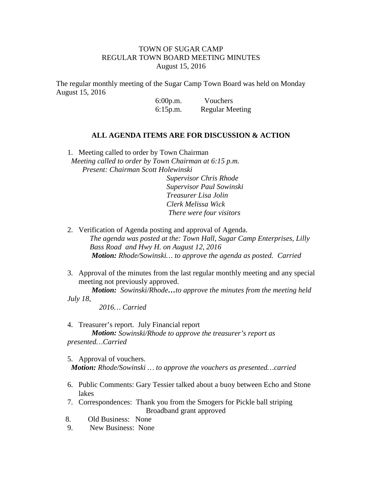## TOWN OF SUGAR CAMP REGULAR TOWN BOARD MEETING MINUTES August 15, 2016

The regular monthly meeting of the Sugar Camp Town Board was held on Monday August 15, 2016

> 6:00p.m. Vouchers 6:15p.m. Regular Meeting

## **ALL AGENDA ITEMS ARE FOR DISCUSSION & ACTION**

1. Meeting called to order by Town Chairman *Meeting called to order by Town Chairman at 6:15 p.m. Present: Chairman Scott Holewinski Supervisor Chris Rhode Supervisor Paul Sowinski Treasurer Lisa Jolin Clerk Melissa Wick There were four visitors*

- 2. Verification of Agenda posting and approval of Agenda. *The agenda was posted at the: Town Hall, Sugar Camp Enterprises, Lilly Bass Road and Hwy H. on August 12, 2016 Motion: Rhode/Sowinski… to approve the agenda as posted. Carried*
- 3. Approval of the minutes from the last regular monthly meeting and any special meeting not previously approved.

*Motion: Sowinski/Rhode…to approve the minutes from the meeting held July 18,*

*2016… Carried*

4. Treasurer's report. July Financial report *Motion: Sowinski/Rhode to approve the treasurer's report as presented…Carried*

5. Approval of vouchers. *Motion: Rhode/Sowinski … to approve the vouchers as presented…carried*

- 6. Public Comments: Gary Tessier talked about a buoy between Echo and Stone lakes
- 7. Correspondences: Thank you from the Smogers for Pickle ball striping Broadband grant approved
- 8. Old Business: None
- 9. New Business: None